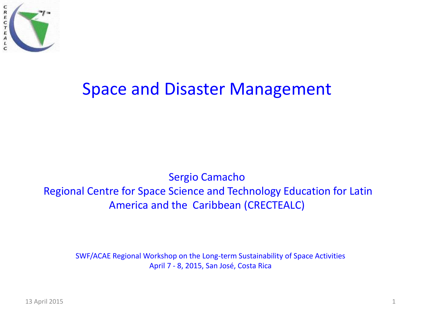

### Space and Disaster Management

#### Sergio Camacho Regional Centre for Space Science and Technology Education for Latin America and the Caribbean (CRECTEALC)

SWF/ACAE Regional Workshop on the Long-term Sustainability of Space Activities April 7 - 8, 2015, San José, Costa Rica

13 April 2015 1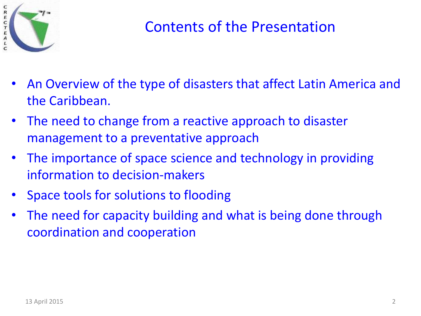

#### Contents of the Presentation

- An Overview of the type of disasters that affect Latin America and the Caribbean.
- The need to change from a reactive approach to disaster management to a preventative approach
- The importance of space science and technology in providing information to decision-makers
- Space tools for solutions to flooding
- The need for capacity building and what is being done through coordination and cooperation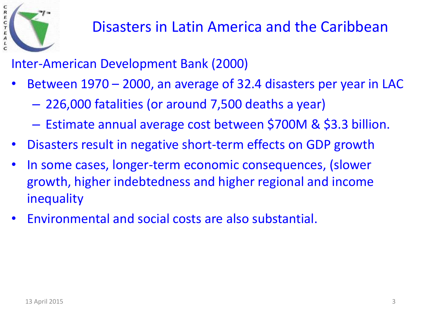

Inter-American Development Bank (2000)

- Between 1970 2000, an average of 32.4 disasters per year in LAC
	- 226,000 fatalities (or around 7,500 deaths a year)
	- Estimate annual average cost between \$700M & \$3.3 billion.
- Disasters result in negative short-term effects on GDP growth
- In some cases, longer-term economic consequences, (slower growth, higher indebtedness and higher regional and income inequality
- Environmental and social costs are also substantial.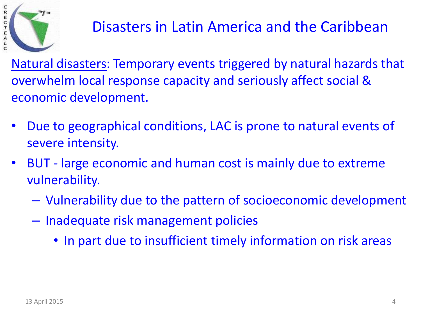

Natural disasters: Temporary events triggered by natural hazards that overwhelm local response capacity and seriously affect social & economic development.

- Due to geographical conditions, LAC is prone to natural events of severe intensity.
- BUT large economic and human cost is mainly due to extreme vulnerability.
	- Vulnerability due to the pattern of socioeconomic development
	- Inadequate risk management policies
		- In part due to insufficient timely information on risk areas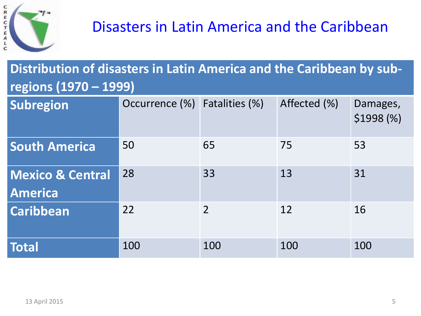

#### **Distribution of disasters in Latin America and the Caribbean by subregions (1970 – 1999)**

| Subregion                                     | Occurrence (%) | Fatalities (%) | Affected (%) | Damages,<br>$$1998 ($\%)$ |
|-----------------------------------------------|----------------|----------------|--------------|---------------------------|
| <b>South America</b>                          | 50             | 65             | 75           | 53                        |
| <b>Mexico &amp; Central</b><br><b>America</b> | 28             | 33             | 13           | 31                        |
| <b>Caribbean</b>                              | 22             | $\overline{2}$ | 12           | 16                        |
| <b>Total</b>                                  | 100            | 100            | 100          | 100                       |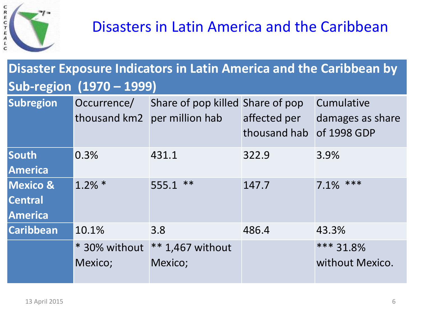

#### **Disaster Exposure Indicators in Latin America and the Caribbean by Sub-region (1970 – 1999)**

| <b>Subregion</b>                                        | Occurrence/              | Share of pop killed Share of pop<br>thousand km2 per million hab | affected per<br>thousand hab | Cumulative<br>damages as share<br>of 1998 GDP |
|---------------------------------------------------------|--------------------------|------------------------------------------------------------------|------------------------------|-----------------------------------------------|
| South<br><b>America</b>                                 | 0.3%                     | 431.1                                                            | 322.9                        | 3.9%                                          |
| <b>Mexico &amp;</b><br><b>Central</b><br><b>America</b> | $1.2\%$ *                | $555.1$ **                                                       | 147.7                        | $7.1\%$ ***                                   |
| <b>Caribbean</b>                                        | 10.1%                    | 3.8                                                              | 486.4                        | 43.3%                                         |
|                                                         | * 30% without<br>Mexico; | $** 1,467$ without<br>Mexico;                                    |                              | *** 31.8%<br>without Mexico.                  |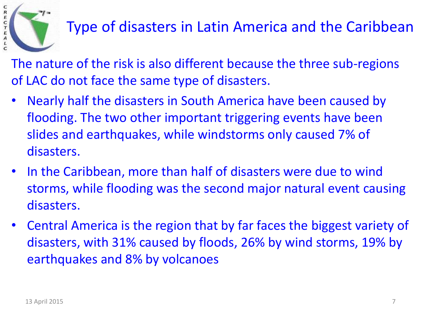

# Type of disasters in Latin America and the Caribbean

The nature of the risk is also different because the three sub-regions of LAC do not face the same type of disasters.

- Nearly half the disasters in South America have been caused by flooding. The two other important triggering events have been slides and earthquakes, while windstorms only caused 7% of disasters.
- In the Caribbean, more than half of disasters were due to wind storms, while flooding was the second major natural event causing disasters.
- Central America is the region that by far faces the biggest variety of disasters, with 31% caused by floods, 26% by wind storms, 19% by earthquakes and 8% by volcanoes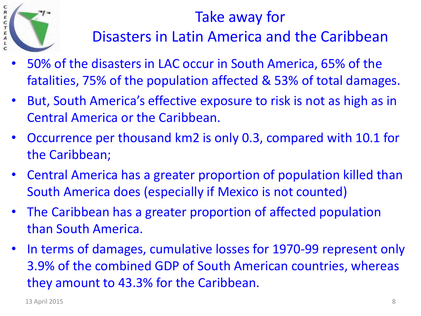

#### Take away for

Disasters in Latin America and the Caribbean

- 50% of the disasters in LAC occur in South America, 65% of the fatalities, 75% of the population affected & 53% of total damages.
- But, South America's effective exposure to risk is not as high as in Central America or the Caribbean.
- Occurrence per thousand km2 is only 0.3, compared with 10.1 for the Caribbean;
- Central America has a greater proportion of population killed than South America does (especially if Mexico is not counted)
- The Caribbean has a greater proportion of affected population than South America.
- In terms of damages, cumulative losses for 1970-99 represent only 3.9% of the combined GDP of South American countries, whereas they amount to 43.3% for the Caribbean.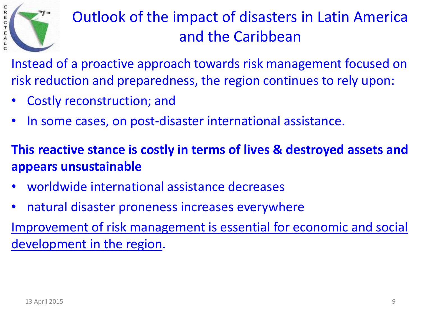

# Outlook of the impact of disasters in Latin America and the Caribbean

Instead of a proactive approach towards risk management focused on risk reduction and preparedness, the region continues to rely upon:

- Costly reconstruction; and
- In some cases, on post-disaster international assistance.

**This reactive stance is costly in terms of lives & destroyed assets and appears unsustainable**

- worldwide international assistance decreases
- natural disaster proneness increases everywhere

Improvement of risk management is essential for economic and social development in the region.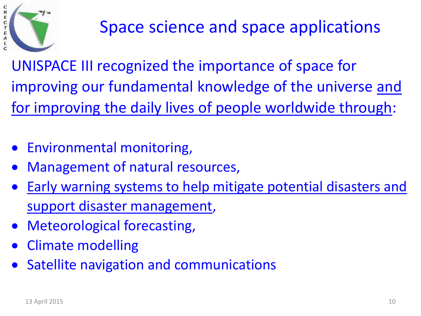

UNISPACE III recognized the importance of space for improving our fundamental knowledge of the universe and for improving the daily lives of people worldwide through:

- Environmental monitoring,
- Management of natural resources,
- Early warning systems to help mitigate potential disasters and support disaster management,
- Meteorological forecasting,
- Climate modelling
- Satellite navigation and communications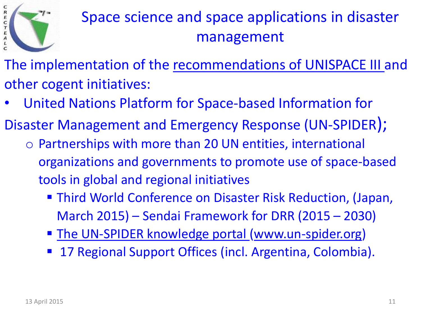

- The implementation of the recommendations of UNISPACE III and other cogent initiatives:
- United Nations Platform for Space-based Information for
- Disaster Management and Emergency Response (UN-SPIDER);
	- o Partnerships with more than 20 UN entities, international organizations and governments to promote use of space-based tools in global and regional initiatives
		- Third World Conference on Disaster Risk Reduction, (Japan, March 2015) – Sendai Framework for DRR (2015 – 2030)
		- **The UN-SPIDER knowledge portal [\(www.un-spider.org\)](http://www.un-spider.org/)**
		- 17 Regional Support Offices (incl. Argentina, Colombia).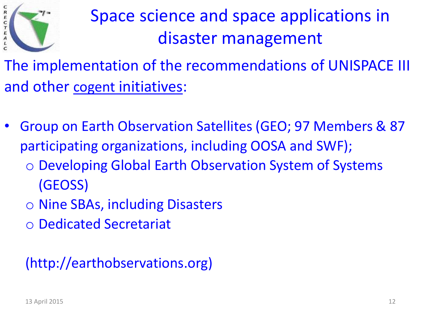

The implementation of the recommendations of UNISPACE III and other cogent initiatives:

- Group on Earth Observation Satellites (GEO; 97 Members & 87 participating organizations, including OOSA and SWF);
	- o Developing Global Earth Observation System of Systems (GEOSS)
	- o Nine SBAs, including Disasters
	- o Dedicated Secretariat

(http://earthobservations.org)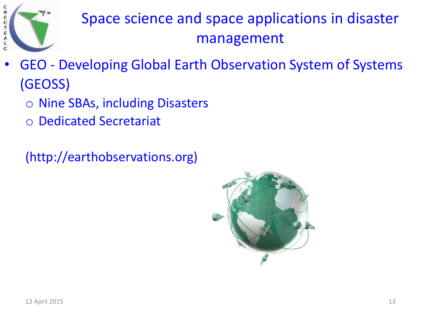

- GEO Developing Global Earth Observation System of Systems (GEOSS)
	- o Nine SBAs, including Disasters
	- o Dedicated Secretariat

(http://earthobservations.org)

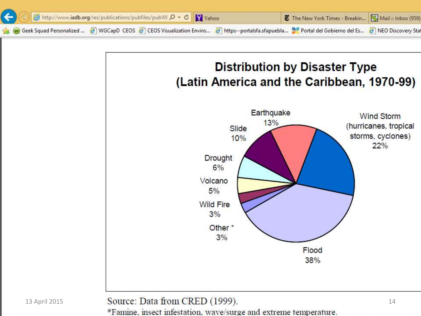



13 April 2015 **Source: Data from CRED (1999).** 14

\*Famine, insect infestation, wave/surge and extreme temperature.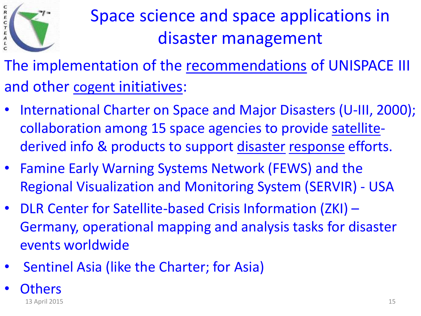

The implementation of the recommendations of UNISPACE III and other cogent initiatives:

- International Charter on Space and Major Disasters (U-III, 2000); collaboration among 15 space agencies to provide [satellite](http://www.un-spider.org/node/7911)derived info & products to support [disaster](http://www.un-spider.org/node/7661) [response](http://www.un-spider.org/node/7680) efforts.
- Famine Early Warning Systems Network (FEWS) and the Regional Visualization and Monitoring System (SERVIR) - USA
- DLR Center for Satellite-based Crisis Information (ZKI) Germany, operational mapping and analysis tasks for disaster events worldwide
- Sentinel Asia (like the Charter; for Asia)
- Others 13 April 2015 15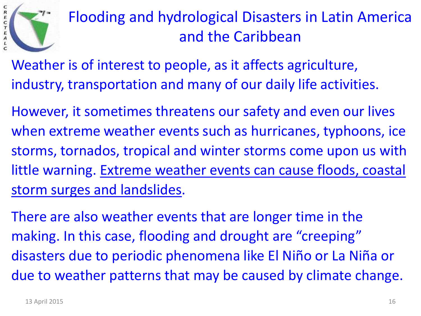

### Flooding and hydrological Disasters in Latin America and the Caribbean

- Weather is of interest to people, as it affects agriculture, industry, transportation and many of our daily life activities.
- However, it sometimes threatens our safety and even our lives when extreme weather events such as hurricanes, typhoons, ice storms, tornados, tropical and winter storms come upon us with little warning. Extreme weather events can cause floods, coastal storm surges and landslides.
- There are also weather events that are longer time in the making. In this case, flooding and drought are "creeping" disasters due to periodic phenomena like El Niño or La Niña or due to weather patterns that may be caused by climate change.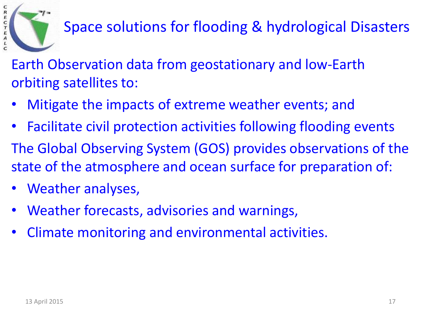

Space solutions for flooding & hydrological Disasters

Earth Observation data from geostationary and low-Earth orbiting satellites to:

- Mitigate the impacts of extreme weather events; and
- Facilitate civil protection activities following flooding events The Global Observing System (GOS) provides observations of the state of the atmosphere and ocean surface for preparation of:
- Weather analyses,
- Weather forecasts, advisories and warnings,
- Climate monitoring and environmental activities.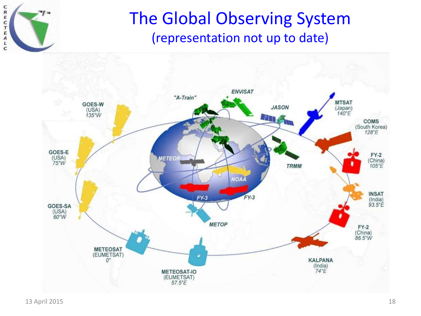

#### The Global Observing System (representation not up to date)

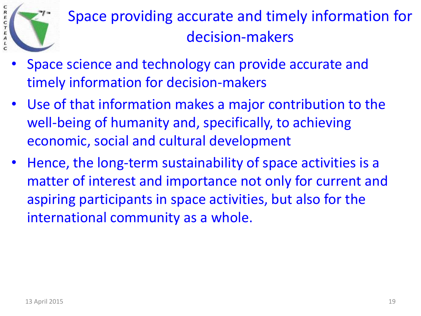

# Space providing accurate and timely information for decision-makers

- Space science and technology can provide accurate and timely information for decision-makers
- Use of that information makes a major contribution to the well-being of humanity and, specifically, to achieving economic, social and cultural development
- Hence, the long-term sustainability of space activities is a matter of interest and importance not only for current and aspiring participants in space activities, but also for the international community as a whole.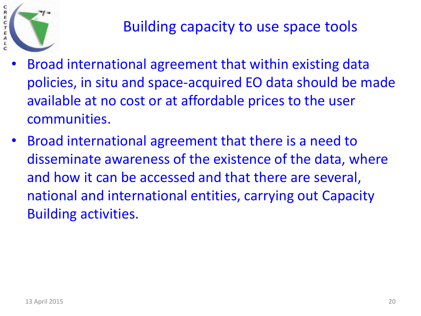

- Broad international agreement that within existing data policies, in situ and space-acquired EO data should be made available at no cost or at affordable prices to the user communities.
- Broad international agreement that there is a need to disseminate awareness of the existence of the data, where and how it can be accessed and that there are several, national and international entities, carrying out Capacity Building activities.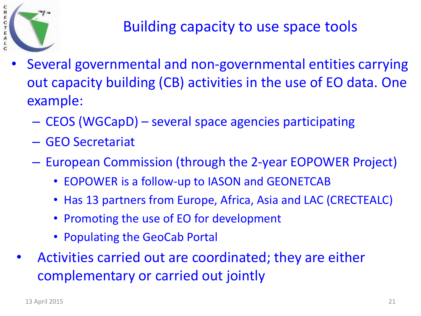

#### Building capacity to use space tools

- Several governmental and non-governmental entities carrying out capacity building (CB) activities in the use of EO data. One example:
	- CEOS (WGCapD) several space agencies participating
	- GEO Secretariat
	- European Commission (through the 2-year EOPOWER Project)
		- EOPOWER is a follow-up to IASON and GEONETCAB
		- Has 13 partners from Europe, Africa, Asia and LAC (CRECTEALC)
		- Promoting the use of EO for development
		- Populating the GeoCab Portal
- Activities carried out are coordinated; they are either complementary or carried out jointly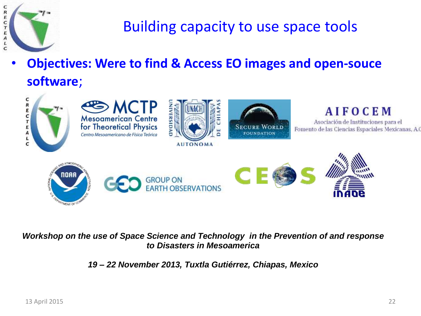

#### Building capacity to use space tools

• **Objectives: Were to find & Access EO images and open-souce software**;



#### *Workshop on the use of Space Science and Technology in the Prevention of and response to Disasters in Mesoamerica*

*19 – 22 November 2013, Tuxtla Gutiérrez, Chiapas, Mexico*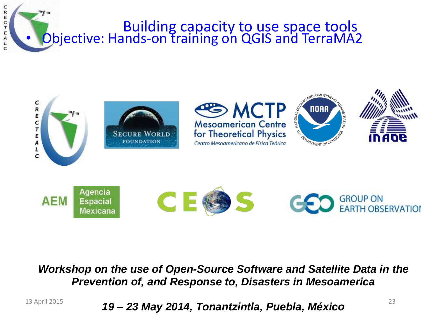





#### *Workshop on the use of Open-Source Software and Satellite Data in the Prevention of, and Response to, Disasters in Mesoamerica*

13 April 2015 23 *19 – 23 May 2014, Tonantzintla, Puebla, México*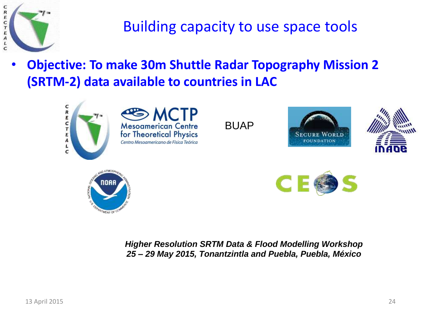

Building capacity to use space tools

• **Objective: To make 30m Shuttle Radar Topography Mission 2 (SRTM-2) data available to countries in LAC**



*Higher Resolution SRTM Data & Flood Modelling Workshop 25 – 29 May 2015, Tonantzintla and Puebla, Puebla, México*